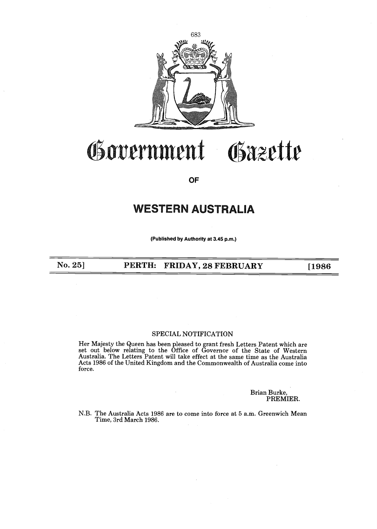

## rrnment Osazette

OF

# WESTERN AUSTRALIA

(Published by Authority at 3.45 p.m.)

No. 25]

PERTH: FRIDAY, 28 FEBRUARY [1986]

### SPECIAL NOTIFICATION

Her Majesty the Queen has been pleased to grant fresh Letters Patent which are set out below relating to the Office of Governor of the State of Western Australia. The Letters Patent will take effect at the same time as the Australia Acts 1986 of the United Kingdom and the Commonwealth of Australia come into force.

> Brian Burke, PREMIER.

N.B. The Australia Acts 1986 are to come into force at 5 a .m. Greenwich Mean Time, 3rd March 1986 .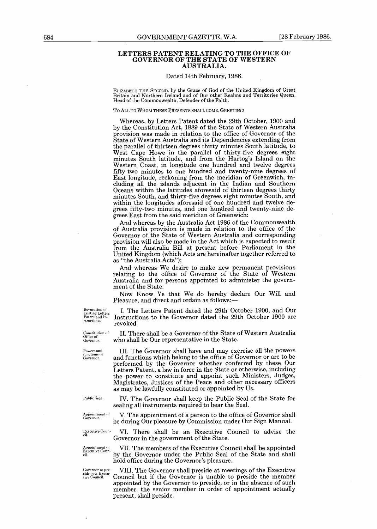#### LETTERS PATENT RELATING TO THE OFFICE OF GOVERNOR OF THE STATE OF WESTERN AUSTRALIA.

#### Dated 14th February, 1986.

ELIZABETH THE SECOND. by the Grace of God of the United Kingdom of Great Britain and Northern Ireland and of Our other Realms and Territories Queen, Head of the Commonwealth, Defender of the Faith.

#### TO ALL TO WHOM THESE PRESENTS SHALL COME, GREETING!

Whereas, by Letters Patent dated the 29th October, 1900 and by the Constitution Act, 1889 of the State of Western Australia provision was made in relation to the office of Governor of the State of Western Australia and its Dependencies extending from the parallel of thirteen degrees thirty minutes South latitude, to West Cape Howe in the parallel of thirty-five degrees eight minutes South latitude, and from the Hartog's Island on the Western Coast, in longitude one hundred and twelve degrees fifty-two minutes to one hundred and twenty-nine degrees of East longitude, reckoning from the meridian of Greenwich, including all the islands adjacent in the Indian and Southern Oceans within the latitudes aforesaid of thirteen degrees thirty minutes South, and thirty-five degrees eight minutes South, and within the longitudes aforesaid of one hundred and twelve degrees fifty-two minutes, and one hundred and twenty-nine degrees East from the said meridian of Greenwich :

And whereas by the Australia Act 1986 of the Commonwealth of Australia provision is made in relation to the office of the Governor of the State of Western Australia and corresponding provision will also be made in the Act which is expected to result from the Australia Bill at present before Parliament in the United Kingdom (which Acts are hereinafter together referred to as "the Australia Acts");

And whereas We desire to make new permanent provisions relating to the office of Governor of the State of Western Australia and for persons appointed to administer the government of the State:

Now Know Ye that We do hereby declare Our Will and Pleasure, and direct and ordain as follows:-

Revocation of<br>existing Letters<br>Patent and In-

I. The Letters Patent dated the 29th October 1900, and Our Example The Instructions to the Governor dated the 29th October 1900 are structions. revoked.

> II. There shall be a Governor of the State of Western Australia who shall be Our representative in the State.

performed by the Governor whether conferred by these Our Letters Patent, a law in force in the State or otherwise, including the power to constitute and appoint such Ministers, Judges, Magistrates, Justices of the Peace and other necessary officers

Powers and III . The Governor shall have and may exercise all the powers functions of Governor . and functions which belong to the office of Governor or are to be

Constitution of<br>Office of<br>Governor.

Public Seal.

sealing all instruments required to bear the Seal . Appointment of V. The appointment of a person to the office of Governor shall

IV. The Governor shall keep the Public Seal of the State for

as may be lawfully constituted or appointed by Us .

be during Our pleasure by Commission under Our Sign Manual .

Executive Coun- VI. There shall be an Executive Council to advise the

Executive Coun ci1

Governor in the government of the State. VII. The members of the Executive Council shall be appointed

by the Governor under the Public Seal of the State and shall hold office during the Governor's pleasure.

Governor to pre-<br>side over Executive VIII. The Governor shall preside at meetings of the Executive tive Council Council but if the Governor is unable to preside the member Council but if the Governor is unable to preside the member appointed by the Governor to preside, or in the absence of such member, the senior member in order of appointment actually present, shall preside.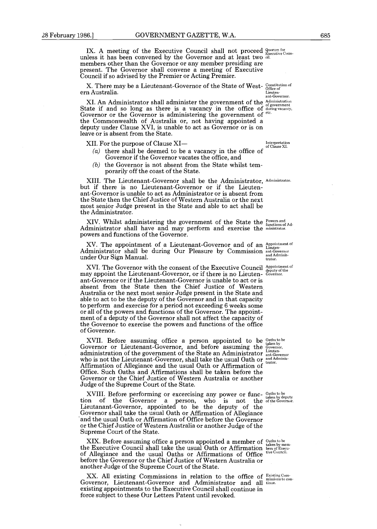IX. A meeting of the Executive Council shall not proceed  $g_{\text{vacuum for}}^{\text{quorum for}}$ unless it has been convened by the Governor and at least two dil. members other than the Governor or any member presiding are present. The Governor shall convene a meeting of Executive Council if so advised by the Premier or Acting Premier .

X. There may be a Lieutenant-Governor of the State of West-  $_\mathrm{Office\:off}^\mathrm{Constitution\:off}$ ern Australia.

Lieutenant-Governor. Administration of government during vacancy,

XI. An Administrator shall administer the government of the State if and so long as there is a vacancy in the office of Governor or the Governor is administering the government of <sup>etc.</sup> the Commonwealth of Australia or, not having appointed a deputy under Clause XVI, is unable to act as Governor or is on leave or is absent from the State.

XII. For the purpose of Clause XI-

- (a) there shall be deemed to be a vacancy in the office of Governor if the Governor vacates the office, and
- (b) the Governor is not absent from the State whilst temporarily off the coast of the State.

XIII. The Lieutenant-Governor shall be the Administrator, Administrator. but if there is no Lieutenant-Governor or if the Lieutenant-Governor is unable to act as Administrator or is absent from the State then the Chief Justice of Western Australia or the next most senior Judge present in the State and able to act shall be the Administrator.

 $XIV.$  Whilst administering the government of the State the  $\frac{1}{f_{\text{functions}}}$ Administrator shall have and may perform and exercise the ministrator. powers and functions of the Governor .

XV. The appointment of a Lieutenant-Governor and of an Administrator shall be during Our Pleasure by Commission ant-Governor under Our Sign Manual . XV. The appointment of a Lieutenant-Governor and of an Appointment of trator.

XVI. The Governor with the consent of the Executive Council may appoint the Lieutenant-Governor, or if there is no Lieutenant-Governor or if the Lieutenant-Governor is unable to act or is absent from the State then the Chief Justice of Western Australia or the next most senior Judge present in the State and able to act to be the deputy of the Governor and in that capacity to perform and exercise for a period not exceeding 6 weeks some or all of the powers and functions of the Governor. The appointment of a deputy of the Governor shall not affect the capacity of the Governor to exercise the powers and functions of the office of Governor.

XVII. Before assuming office a person appointed to be Governor or Lieutenant-Governor, and before assuming the administration of the government of the State an Administrator who is not the Lieutenant-Governor, shall take the usual Oath or Affirmation of Allegiance and the usual Oath or Affirmation of Office . Such Oaths and Affirmations shall be taken before the Governor or the Chief Justice of Western Australia or another Judge of the Supreme Court of the State.

XVIII. Before performing or excercising any power or function of the Governor a person, who is not the Lieutanant-Governor, appointed to be the deputy of the Governor shall take the usual Oath or Affirmation of Allegiance and the usual Oath or Affirmation of Office before the Governor or the Chief Justice of Western Australia or another Judge of the Supreme Court of the State .

XIX. Before assuming office a person appointed a member of the Executive Council shall take the usual Oath or Affirmation of Allegiance and the usual Oaths or Affirmations of Office before the Governor or the Chief Justice of Western Australia or another Judge of the Supreme Court of the State .

XX. All existing Commissions in relation to the office of Existing Com-Governor, Lieutenant-Governor and Administrator and all tinue. existing appointments to the Executive Council shall continue in force subject to these Our Letters Patent until revoked.

Interpretation of Clause XI.

Appointment of deputy of the Governor .

Oaths to be taken by Governor, Lieuten-ant-Governor and Adminis-trator .

Oaths to be taken by deputy of the Governor .

Oaths to be taken by mem-bers of Execu-tive Council .

missions to con-